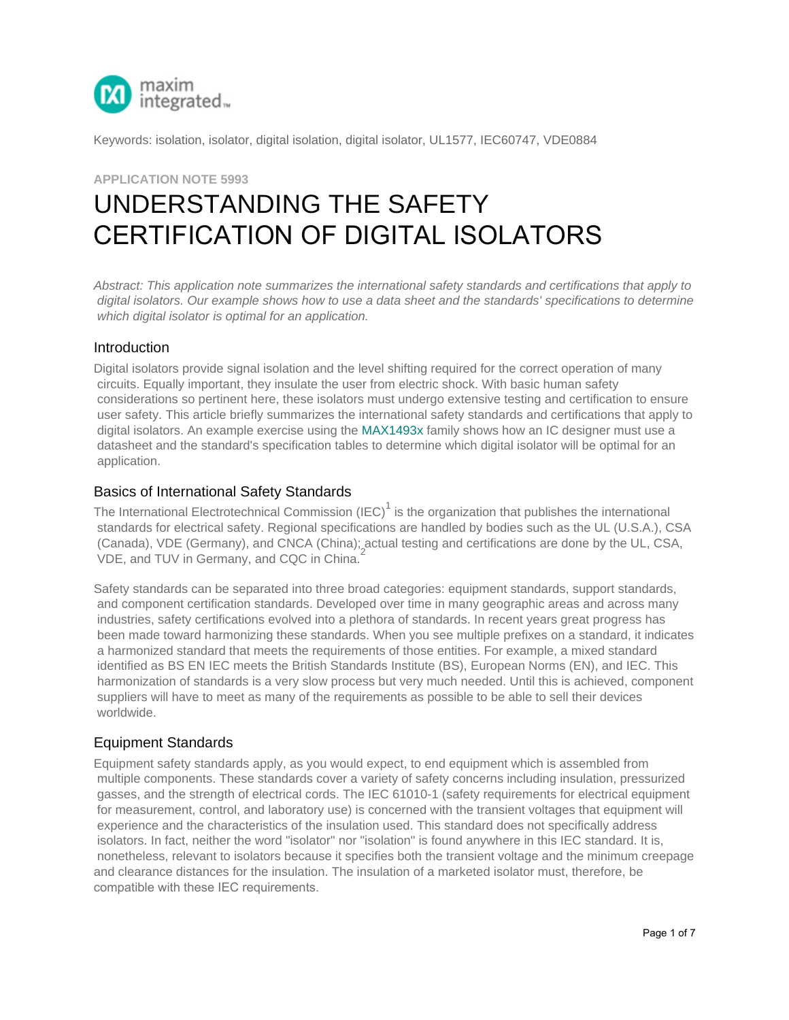

Keywords: isolation, isolator, digital isolation, digital isolator, UL1577, IEC60747, VDE0884

# **APPLICATION NOTE 5993** UNDERSTANDING THE SAFETY [CERTIFICAT](http://www.maximintegrated.com/en/)ION OF DIGITAL ISOLATORS

*Abstract: This application note summarizes the international safety standards and certifications that apply to digital isolators. Our example shows how to use a data sheet and the standards' specifications to determine which digital isolator is optimal for an application.*

#### **Introduction**

Digital isolators provide signal isolation and the level shifting required for the correct operation of many circuits. Equally important, they insulate the user from electric shock. With basic human safety considerations so pertinent here, these isolators must undergo extensive testing and certification to ensure user safety. This article briefly summarizes the international safety standards and certifications that apply to digital isolators. An example exercise using the MAX1493x family shows how an IC designer must use a datasheet and the standard's specification tables to determine which digital isolator will be optimal for an application.

#### Basics of International Safety Standards

The International Electrotechnical Commission (IEC)<sup>1</sup> is the organization that publishes the international standards for electrical safety. Regional specifications are handled by bodies such as the UL (U.S.A.), CSA (Canada), VDE (Germany), and CNCA (China); actual testing and certifications are done by the UL, CSA, VDE, and TUV in Germany, and CQC in China.<sup>2</sup>

Safety standards can be separated into three broad categories: equipment standards, support standards, and component certification standards. Developed over time in many geographic areas and across many industries, safety certifications evolved into a plethora of standards. In recent years great progress has been made toward harmonizing these standards. When you see multiple prefixes on a standard, it indicates a harmonized standard that meets the requirements of those entities. For example, a mixed standard identified as BS EN IEC meets the British Standards Institute (BS), European Norms (EN), and IEC. This harmonization of standards is a very slow process but very much needed. Until this is achieved, component suppliers will have to meet as many of the requirements as possible to be able to sell their devices worldwide.

#### Equipment Standards

Equipment safety standards apply, as you would expect, to end equipment which is assembled from multiple components. These standards cover a variety of safety concerns including insulation, pressurized gasses, and the strength of electrical cords. The IEC 61010-1 (safety requirements for electrical equipment for measurement, control, and laboratory use) is concerned with the transient voltages that equipment will experience and the characteristics of the insulation used. This standard does not specifically address isolators. In fact, neither the word "isolator" nor "isolation" is found anywhere in this IEC standard. It is, nonetheless, relevant to isolators because it specifies both the transient voltage and the minimum creepage and clearance distances for the insulation. The insulation of a marketed isolator must, therefore, be compatible with these IEC requirements.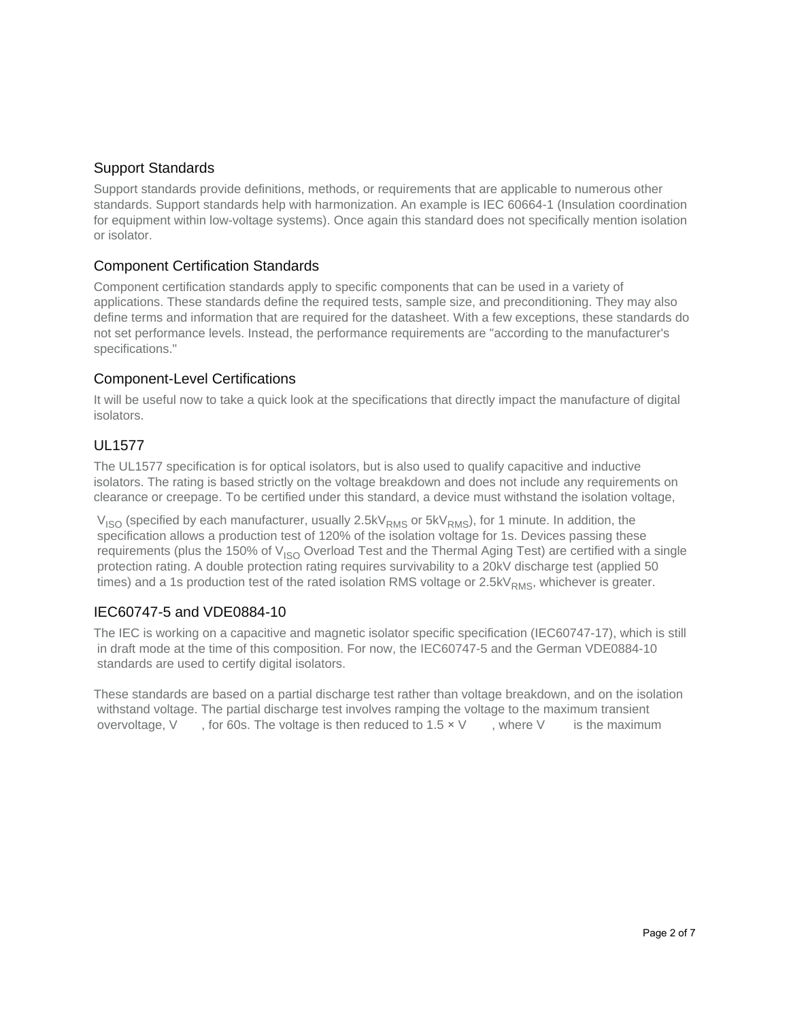# Support Standards

Support standards provide definitions, methods, or requirements that are applicable to numerous other standards. Support standards help with harmonization. An example is IEC 60664-1 (Insulation coordination for equipment within low-voltage systems). Once again this standard does not specifically mention isolation or isolator.

# Component Certification Standards

Component certification standards apply to specific components that can be used in a variety of applications. These standards define the required tests, sample size, and preconditioning. They may also define terms and information that are required for the datasheet. With a few exceptions, these standards do not set performance levels. Instead, the performance requirements are "according to the manufacturer's specifications."

# Component-Level Certifications

It will be useful now to take a quick look at the specifications that directly impact the manufacture of digital isolators.

# UL1577

The UL1577 specification is for optical isolators, but is also used to qualify capacitive and inductive isolators. The rating is based strictly on the voltage breakdown and does not include any requirements on clearance or creepage. To be certified under this standard, a device must withstand the isolation voltage,

 $V_{ISO}$  (specified by each manufacturer, usually 2.5k $V_{RMS}$  or 5k $V_{RMS}$ ), for 1 minute. In addition, the specification allows a production test of 120% of the isolation voltage for 1s. Devices passing these requirements (plus the 150% of  $V_{ISO}$  Overload Test and the Thermal Aging Test) are certified with a single protection rating. A double protection rating requires survivability to a 20kV discharge test (applied 50 times) and a 1s production test of the rated isolation RMS voltage or  $2.5$ kV $_{RMS}$ , whichever is greater.

# IEC60747-5 and VDE0884-10

The IEC is working on a capacitive and magnetic isolator specific specification (IEC60747-17), which is still in draft mode at the time of this composition. For now, the IEC60747-5 and the German VDE0884-10 standards are used to certify digital isolators.

These standards are based on a partial discharge test rather than voltage breakdown, and on the isolation withstand voltage. The partial discharge test involves ramping the voltage to the maximum transient overvoltage, V, for 60s. The voltage is then reduced to  $1.5 \times V$ , where V is the maximum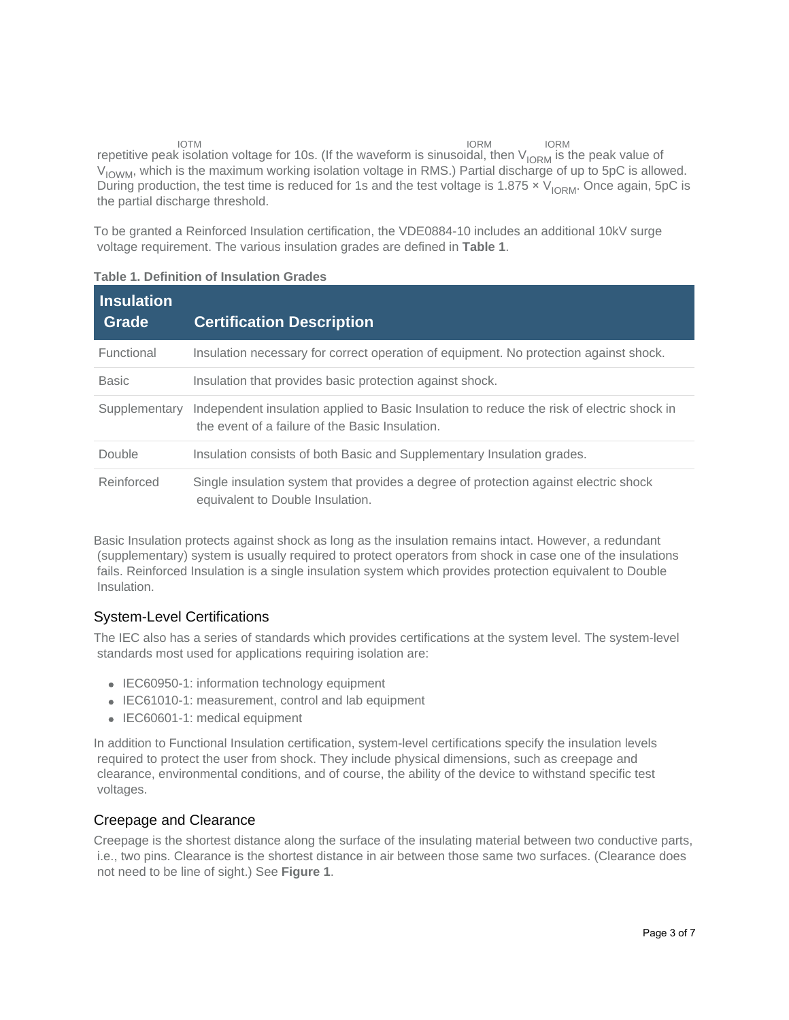IORM IORM IORM IORM IORM IORM IORM TERRIT ION THE TERRIT OF MUSTARE THE VIOR OF MUSTARE OF A CHI IS THE PEAK value of  $V_{\text{IOWM}}$ , which is the maximum working isolation voltage in RMS.) Partial discharge of up to 5pC is allowed. During production, the test time is reduced for 1s and the test voltage is 1.875  $\times$  V<sub>IORM</sub>. Once again, 5pC is the partial discharge threshold. IORM

To be granted a Reinforced Insulation certification, the VDE0884-10 includes an additional 10kV surge voltage requirement. The various insulation grades are defined in **Table 1**.

| <b>Insulation</b><br>Grade | <b>Certification Description</b>                                                                                                              |
|----------------------------|-----------------------------------------------------------------------------------------------------------------------------------------------|
| Functional                 | Insulation necessary for correct operation of equipment. No protection against shock.                                                         |
| <b>Basic</b>               | Insulation that provides basic protection against shock.                                                                                      |
| Supplementary              | Independent insulation applied to Basic Insulation to reduce the risk of electric shock in<br>the event of a failure of the Basic Insulation. |
| Double                     | Insulation consists of both Basic and Supplementary Insulation grades.                                                                        |
| Reinforced                 | Single insulation system that provides a degree of protection against electric shock<br>equivalent to Double Insulation.                      |

#### **Table 1. Definition of Insulation Grades**

Basic Insulation protects against shock as long as the insulation remains intact. However, a redundant (supplementary) system is usually required to protect operators from shock in case one of the insulations fails. Reinforced Insulation is a single insulation system which provides protection equivalent to Double Insulation.

# System-Level Certifications

The IEC also has a series of standards which provides certifications at the system level. The system-level standards most used for applications requiring isolation are:

- IEC60950-1: information technology equipment
- IEC61010-1: measurement, control and lab equipment
- IEC60601-1: medical equipment

In addition to Functional Insulation certification, system-level certifications specify the insulation levels required to protect the user from shock. They include physical dimensions, such as creepage and clearance, environmental conditions, and of course, the ability of the device to withstand specific test voltages.

#### Creepage and Clearance

Creepage is the shortest distance along the surface of the insulating material between two conductive parts, i.e., two pins. Clearance is the shortest distance in air between those same two surfaces. (Clearance does not need to be line of sight.) See **Figure 1**.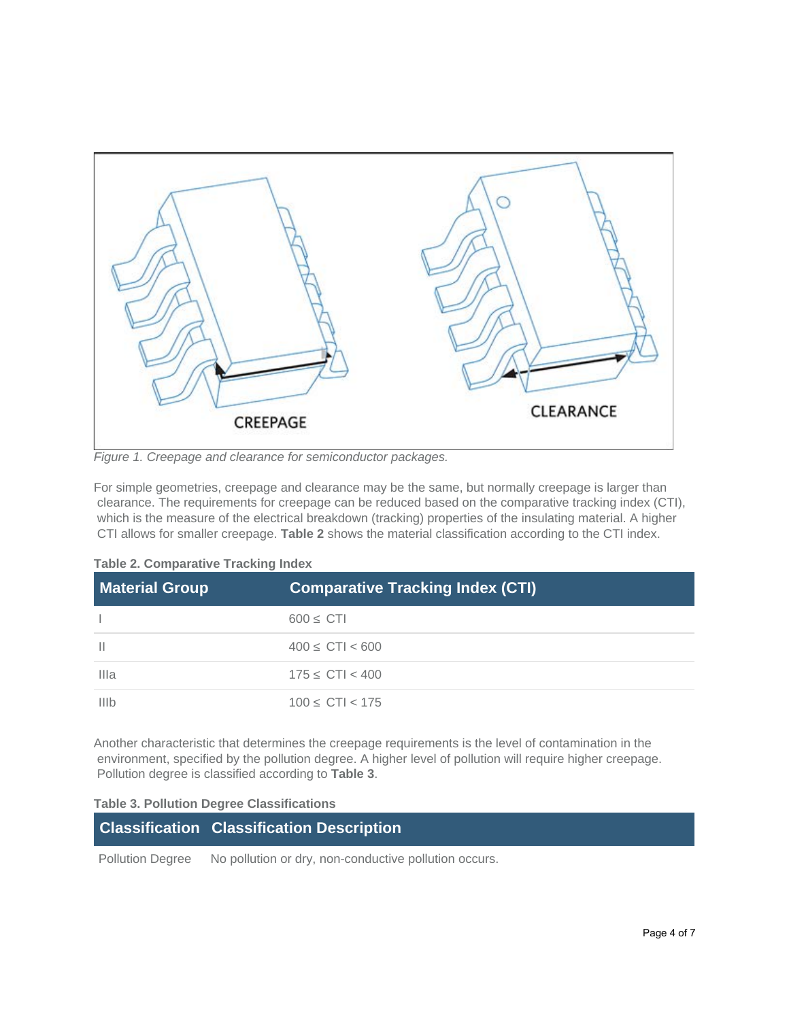#### *Figure 1. Creepage and clearance for semiconductor packages.*

For simple geometries, creepage and clearance may be the same, but normally creepage is larger than clearance. The requirements for creepage can be reduced based on the comparative tracking index (CTI), which is the measure of the electrical breakdown (tracking) properties of the insulating material. A higher CTI allows for smaller creepage. **Table 2** shows the material classification according to the CTI index.

| <b>Material Group</b> | <b>Comparative Tracking Index (CTI)</b> |
|-----------------------|-----------------------------------------|
|                       | 600<br><b>CTI</b>                       |
|                       | $400$ CTI < 600                         |
| Illa                  | $175$ CTI < 400                         |
| IIIb                  | $100$ CTI < 175                         |

**Table 2. Comparative Tracking Index**

Another characteristic that determines the creepage requirements is the level of contamination in the environment, specified by the pollution degree. A higher level of pollution will require higher creepage. Pollution degree is classified according to **Table 3**.

#### **Table 3. Pollution Degree Classifications**

| <b>Classification Classification Description</b> |  |
|--------------------------------------------------|--|
|                                                  |  |

Pollution Degree No pollution or dry, non-conductive pollution occurs.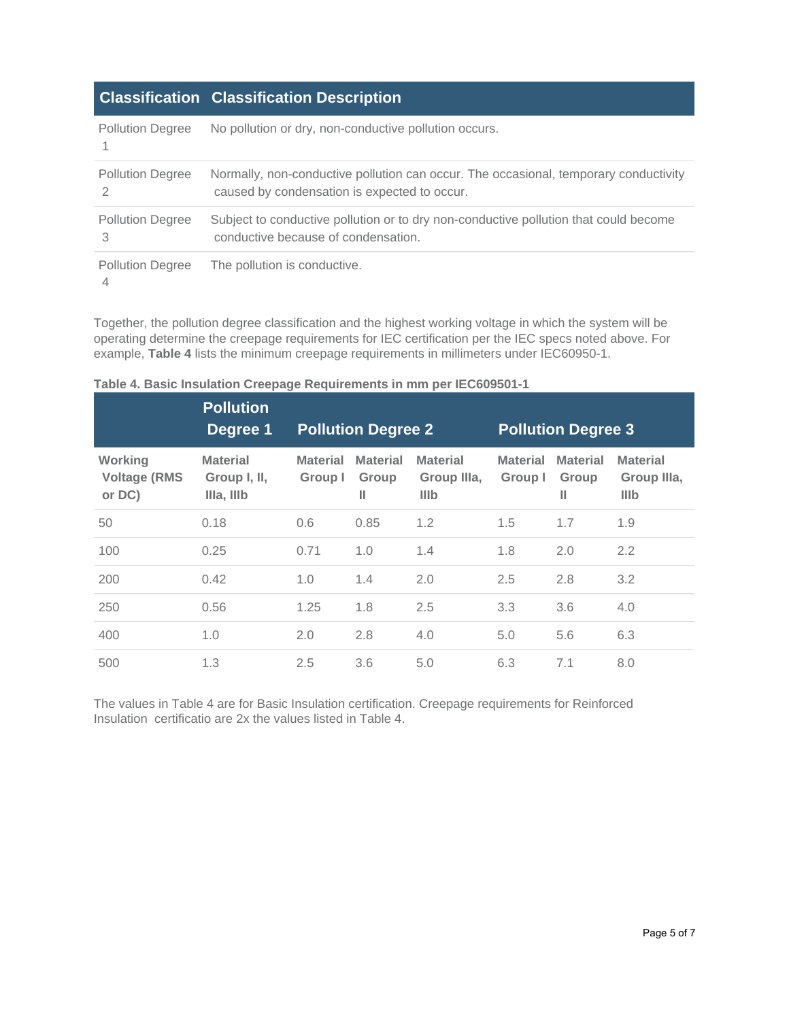# **Classification Classification Description**

| <b>Pollution Degree</b>      | No pollution or dry, non-conductive pollution occurs.                                                                                |
|------------------------------|--------------------------------------------------------------------------------------------------------------------------------------|
| <b>Pollution Degree</b>      | Normally, non-conductive pollution can occur. The occasional, temporary conductivity<br>caused by condensation is expected to occur. |
| <b>Pollution Degree</b><br>3 | Subject to conductive pollution or to dry non-conductive pollution that could become<br>conductive because of condensation.          |
| <b>Pollution Degree</b><br>4 | The pollution is conductive.                                                                                                         |

Together, the pollution degree classification and the highest working voltage in which the system will be operating determine the creepage requirements for IEC certification per the IEC specs noted above. For example, **Table 4** lists the minimum creepage requirements in millimeters under IEC60950-1.

|                                          | <b>Pollution</b>                              |                            |                               |                                               |                            |                               |                                        |
|------------------------------------------|-----------------------------------------------|----------------------------|-------------------------------|-----------------------------------------------|----------------------------|-------------------------------|----------------------------------------|
|                                          | Degree 1                                      |                            | <b>Pollution Degree 2</b>     |                                               |                            | <b>Pollution Degree 3</b>     |                                        |
| Working<br><b>Voltage (RMS</b><br>or DC) | <b>Material</b><br>Group I, II,<br>Illa, Illb | <b>Material</b><br>Group I | <b>Material</b><br>Group<br>Ш | <b>Material</b><br>Group IIIa,<br><b>IIIb</b> | <b>Material</b><br>Group I | <b>Material</b><br>Group<br>Ш | <b>Material</b><br>Group IIIa,<br>IIIb |
| 50                                       | 0.18                                          | 0.6                        | 0.85                          | 1.2                                           | 1.5                        | 1.7                           | 1.9                                    |
| 100                                      | 0.25                                          | 0.71                       | 1.0                           | 1.4                                           | 1.8                        | 2.0                           | 2.2                                    |
| 200                                      | 0.42                                          | 1.0                        | 1.4                           | 2.0                                           | 2.5                        | 2.8                           | 3.2                                    |
| 250                                      | 0.56                                          | 1.25                       | 1.8                           | 2.5                                           | 3.3                        | 3.6                           | 4.0                                    |
| 400                                      | 1.0                                           | 2.0                        | 2.8                           | 4.0                                           | 5.0                        | 5.6                           | 6.3                                    |
| 500                                      | 1.3                                           | 2.5                        | 3.6                           | 5.0                                           | 6.3                        | 7.1                           | 8.0                                    |

| Table 4. Basic Insulation Creepage Requirements in mm per IEC609501-1 |  |  |
|-----------------------------------------------------------------------|--|--|
|-----------------------------------------------------------------------|--|--|

The values in Table 4 are for Basic Insulation certification. Creepage requirements for Reinforced Insulation certificatio are 2x the values listed in Table 4.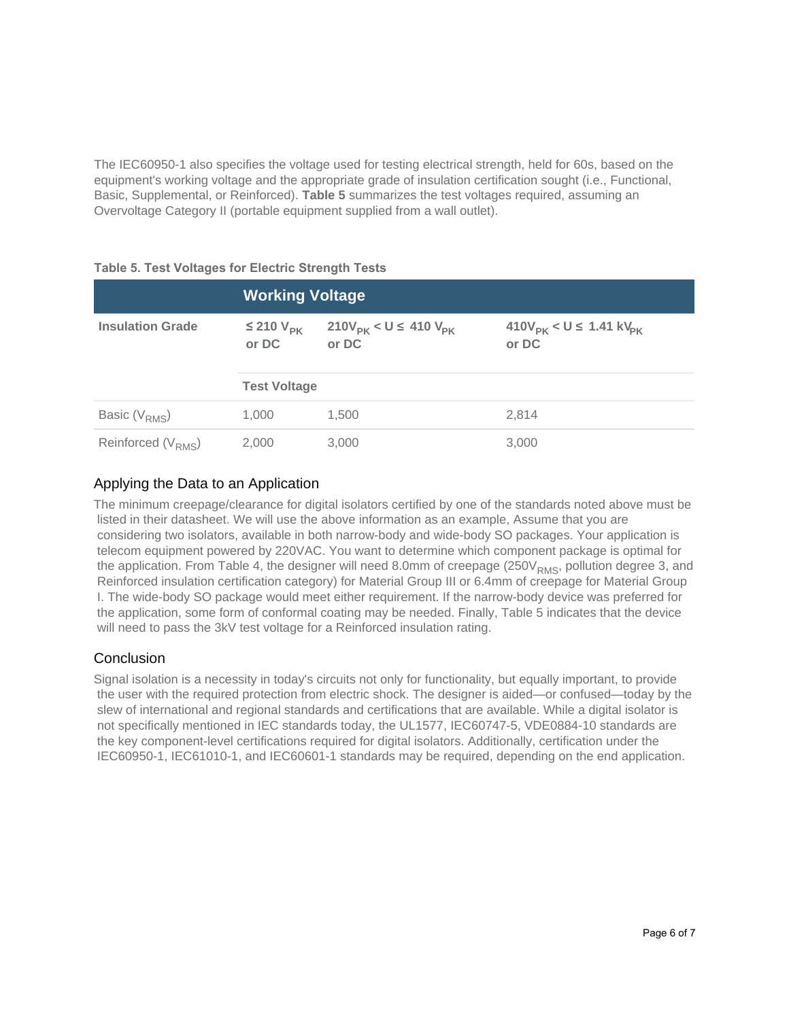The IEC60950-1 also specifies the voltage used for testing electrical strength, held for 60s, based on the equipment's working voltage and the appropriate grade of insulation certification sought (i.e., Functional, Basic, Supplemental, or Reinforced). **Table 5** summarizes the test voltages required, assuming an Overvoltage Category II (portable equipment supplied from a wall outlet).

|  | <b>Table 5. Test Voltages for Electric Strength Tests</b> |  |  |
|--|-----------------------------------------------------------|--|--|
|  |                                                           |  |  |

|                         | <b>Working Voltage</b>       |                                                     |                                                |  |  |  |
|-------------------------|------------------------------|-----------------------------------------------------|------------------------------------------------|--|--|--|
| <b>Insulation Grade</b> | $\leq$ 210 $V_{PK}$<br>or DC | 210V <sub>PK</sub> < U 410 V <sub>PK</sub><br>or DC | $410V_{PK}$ < U 1.41 kV <sub>pK</sub><br>or DC |  |  |  |
|                         | <b>Test Voltage</b>          |                                                     |                                                |  |  |  |
| Basic $(V_{RMS})$       | 1.000                        | 1.500                                               | 2.814                                          |  |  |  |
| Reinforced $(V_{RMS})$  | 2,000                        | 3,000                                               | 3.000                                          |  |  |  |

# Applying the Data to an Application

The minimum creepage/clearance for digital isolators certified by one of the standards noted above must be listed in their datasheet. We will use the above information as an example, Assume that you are considering two isolators, available in both narrow-body and wide-body SO packages. Your application is telecom equipment powered by 220VAC. You want to determine which component package is optimal for the application. From Table 4, the designer will need 8.0mm of creepage ( $250V<sub>RMS</sub>$ , pollution degree 3, and Reinforced insulation certification category) for Material Group III or 6.4mm of creepage for Material Group I. The wide-body SO package would meet either requirement. If the narrow-body device was preferred for the application, some form of conformal coating may be needed. Finally, Table 5 indicates that the device will need to pass the 3kV test voltage for a Reinforce[d insulation rating.](http://www.iec.ch/index.htm)

# **Conclusion**

Signa[l isolation is a necessity in today](http://www.cnca.gov.cn/cnca/cncatest/20040420/column/227.htm)'[s circuits not only for functio](http://www.cnca.gov.cn/cnca/cncatest/20040420/column/227.htm)nality, but equally important, to provide the u[ser with the re](http://www.tuv.com/)quired protection from el[ectric shock. The d](http://www.tuv-sud.com/)esigner is aided—or confused—today by the slew [of international and region](http://www.cqc.com.cn/english/)al standards and certifications that are available. While a digital isolator is not specifically mentioned in IEC standards today, the UL1577, IEC60747-5, VDE0884-10 standards are the key component-level certifications required for digital iso[lators](http://www.edn.com/design/analog/4438582/Understanding-the-safety-certification-of-Digital-Isolators). Additionally, certification under the IEC60950-1, IEC61010-1, and IEC60601-1 standards may be required, depending on the end application.